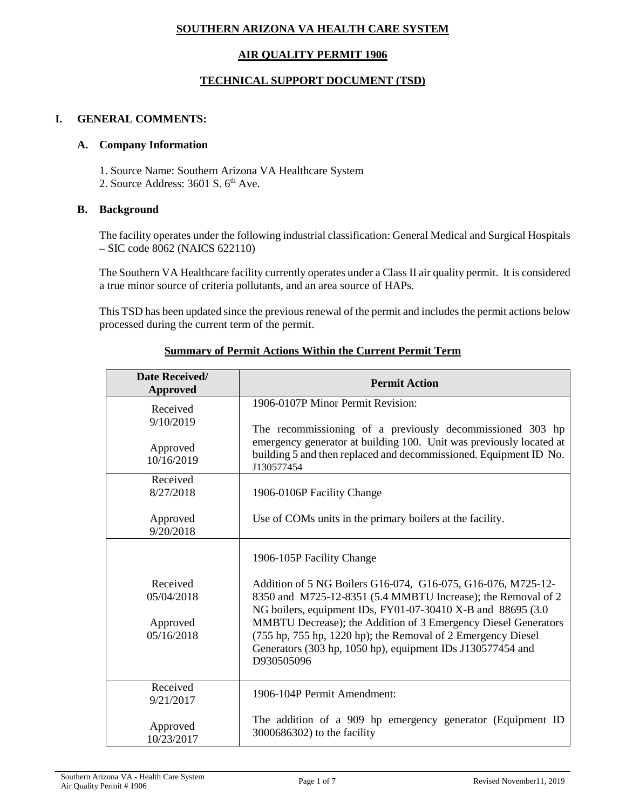# **SOUTHERN ARIZONA VA HEALTH CARE SYSTEM**

# **AIR QUALITY PERMIT 1906**

# **TECHNICAL SUPPORT DOCUMENT (TSD)**

## **I. GENERAL COMMENTS:**

### **A. Company Information**

- 1. Source Name: Southern Arizona VA Healthcare System
- 2. Source Address:  $3601$  S.  $6<sup>th</sup>$  Ave.

## **B. Background**

The facility operates under the following industrial classification: General Medical and Surgical Hospitals – SIC code 8062 (NAICS 622110)

The Southern VA Healthcare facility currently operates under a Class II air quality permit. It is considered a true minor source of criteria pollutants, and an area source of HAPs.

This TSD has been updated since the previous renewal of the permit and includes the permit actions below processed during the current term of the permit.

| Date Received/<br><b>Approved</b> | <b>Permit Action</b>                                                                                                                                                                                                |
|-----------------------------------|---------------------------------------------------------------------------------------------------------------------------------------------------------------------------------------------------------------------|
| Received<br>9/10/2019             | 1906-0107P Minor Permit Revision:                                                                                                                                                                                   |
| Approved<br>10/16/2019            | The recommissioning of a previously decommissioned 303 hp<br>emergency generator at building 100. Unit was previously located at<br>building 5 and then replaced and decommissioned. Equipment ID No.<br>J130577454 |
| Received<br>8/27/2018             | 1906-0106P Facility Change                                                                                                                                                                                          |
| Approved<br>9/20/2018             | Use of COMs units in the primary boilers at the facility.                                                                                                                                                           |
|                                   | 1906-105P Facility Change                                                                                                                                                                                           |
| Received<br>05/04/2018            | Addition of 5 NG Boilers G16-074, G16-075, G16-076, M725-12-<br>8350 and M725-12-8351 (5.4 MMBTU Increase); the Removal of 2<br>NG boilers, equipment IDs, FY01-07-30410 X-B and 88695 (3.0)                        |
| Approved<br>05/16/2018            | MMBTU Decrease); the Addition of 3 Emergency Diesel Generators<br>(755 hp, 755 hp, 1220 hp); the Removal of 2 Emergency Diesel<br>Generators (303 hp, 1050 hp), equipment IDs J130577454 and<br>D930505096          |
| Received<br>9/21/2017             | 1906-104P Permit Amendment:                                                                                                                                                                                         |
| Approved<br>10/23/2017            | The addition of a 909 hp emergency generator (Equipment ID<br>3000686302) to the facility                                                                                                                           |

# **Summary of Permit Actions Within the Current Permit Term**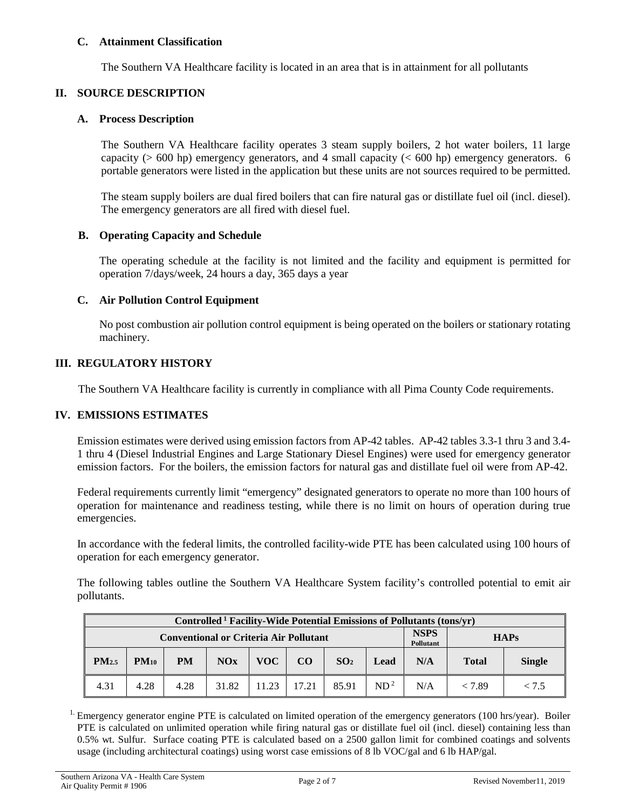## **C. Attainment Classification**

The Southern VA Healthcare facility is located in an area that is in attainment for all pollutants

# **II. SOURCE DESCRIPTION**

### **A. Process Description**

The Southern VA Healthcare facility operates 3 steam supply boilers, 2 hot water boilers, 11 large capacity ( $> 600$  hp) emergency generators, and 4 small capacity ( $< 600$  hp) emergency generators. 6 portable generators were listed in the application but these units are not sources required to be permitted.

The steam supply boilers are dual fired boilers that can fire natural gas or distillate fuel oil (incl. diesel). The emergency generators are all fired with diesel fuel.

### **B. Operating Capacity and Schedule**

The operating schedule at the facility is not limited and the facility and equipment is permitted for operation 7/days/week, 24 hours a day, 365 days a year

## **C. Air Pollution Control Equipment**

No post combustion air pollution control equipment is being operated on the boilers or stationary rotating machinery.

## **III. REGULATORY HISTORY**

The Southern VA Healthcare facility is currently in compliance with all Pima County Code requirements.

### **IV. EMISSIONS ESTIMATES**

Emission estimates were derived using emission factors from AP-42 tables. AP-42 tables 3.3-1 thru 3 and 3.4- 1 thru 4 (Diesel Industrial Engines and Large Stationary Diesel Engines) were used for emergency generator emission factors. For the boilers, the emission factors for natural gas and distillate fuel oil were from AP-42.

Federal requirements currently limit "emergency" designated generators to operate no more than 100 hours of operation for maintenance and readiness testing, while there is no limit on hours of operation during true emergencies.

In accordance with the federal limits, the controlled facility-wide PTE has been calculated using 100 hours of operation for each emergency generator.

The following tables outline the Southern VA Healthcare System facility's controlled potential to emit air pollutants.

| Controlled <sup>1</sup> Facility-Wide Potential Emissions of Pollutants (tons/yr) |           |           |       |       |       |                                 |                 |             |              |               |
|-----------------------------------------------------------------------------------|-----------|-----------|-------|-------|-------|---------------------------------|-----------------|-------------|--------------|---------------|
| <b>Conventional or Criteria Air Pollutant</b>                                     |           |           |       |       |       | <b>NSPS</b><br><b>Pollutant</b> |                 | <b>HAPs</b> |              |               |
| PM <sub>2.5</sub>                                                                 | $PM_{10}$ | <b>PM</b> | NOx   | VOC-  | CO    | SO <sub>2</sub>                 | Lead            | N/A         | <b>Total</b> | <b>Single</b> |
| 4.31                                                                              | 4.28      | 4.28      | 31.82 | 11.23 | 17.21 | 85.91                           | ND <sup>2</sup> | N/A         | < 7.89       | < 7.5         |

<sup>1.</sup> Emergency generator engine PTE is calculated on limited operation of the emergency generators (100 hrs/year). Boiler PTE is calculated on unlimited operation while firing natural gas or distillate fuel oil (incl. diesel) containing less than 0.5% wt. Sulfur. Surface coating PTE is calculated based on a 2500 gallon limit for combined coatings and solvents usage (including architectural coatings) using worst case emissions of 8 lb VOC/gal and 6 lb HAP/gal.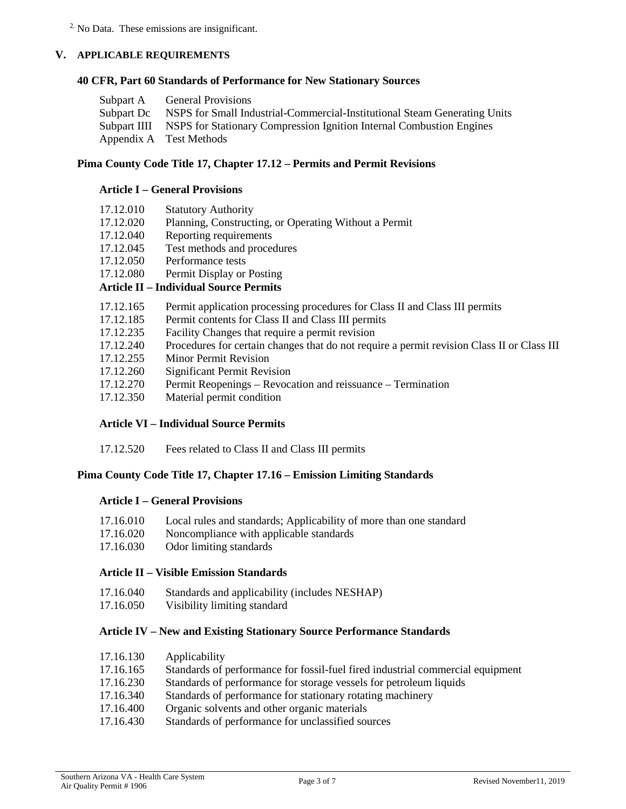2. No Data. These emissions are insignificant.

## **V. APPLICABLE REQUIREMENTS**

### **40 CFR, Part 60 Standards of Performance for New Stationary Sources**

| Subpart A General Provisions                                                         |
|--------------------------------------------------------------------------------------|
| Subpart Dc NSPS for Small Industrial-Commercial-Institutional Steam Generating Units |
| Subpart IIII NSPS for Stationary Compression Ignition Internal Combustion Engines    |
| Appendix A Test Methods                                                              |

## **Pima County Code Title 17, Chapter 17.12 – Permits and Permit Revisions**

## **Article I – General Provisions**

| 17.12.010                                                                                                            | <b>Statutory Authority</b>                            |
|----------------------------------------------------------------------------------------------------------------------|-------------------------------------------------------|
| 17.12.020                                                                                                            | Planning, Constructing, or Operating Without a Permit |
| 17.12.040                                                                                                            | Reporting requirements                                |
| 17.12.045                                                                                                            | Test methods and procedures                           |
| 17.12.050                                                                                                            | Performance tests                                     |
| 17.12.080                                                                                                            | Permit Display or Posting                             |
| $\mathbf{A}$ $\mathbf{A}$ $\mathbf{A}$ $\mathbf{A}$ $\mathbf{A}$ $\mathbf{A}$ $\mathbf{A}$ $\mathbf{A}$ $\mathbf{A}$ |                                                       |

## **Article II – Individual Source Permits**

- 17.12.165 Permit application processing procedures for Class II and Class III permits
- 17.12.185 Permit contents for Class II and Class III permits
- 17.12.235 Facility Changes that require a permit revision
- 17.12.240 Procedures for certain changes that do not require a permit revision Class II or Class III
- 17.12.255 Minor Permit Revision
- 17.12.260 Significant Permit Revision
- 17.12.270 Permit Reopenings Revocation and reissuance Termination
- 17.12.350 Material permit condition

# **Article VI – Individual Source Permits**

17.12.520 Fees related to Class II and Class III permits

# **Pima County Code Title 17, Chapter 17.16 – Emission Limiting Standards**

## **Article I – General Provisions**

| 17.16.010                          |  |  |  | Local rules and standards; Applicability of more than one standard |
|------------------------------------|--|--|--|--------------------------------------------------------------------|
| $\sim$ $\sim$ $\sim$ $\sim$ $\sim$ |  |  |  |                                                                    |

- 17.16.020 Noncompliance with applicable standards
- 17.16.030 Odor limiting standards

## **Article II – Visible Emission Standards**

- 17.16.040 Standards and applicability (includes NESHAP)
- 17.16.050 Visibility limiting standard

### **Article IV – New and Existing Stationary Source Performance Standards**

| 17.16.130 | Applicability                                                                  |
|-----------|--------------------------------------------------------------------------------|
| 17.16.165 | Standards of performance for fossil-fuel fired industrial commercial equipment |
| 17.16.230 | Standards of performance for storage vessels for petroleum liquids             |
| 17.16.340 | Standards of performance for stationary rotating machinery                     |
| 17.16.400 | Organic solvents and other organic materials                                   |
| 17.16.430 | Standards of performance for unclassified sources                              |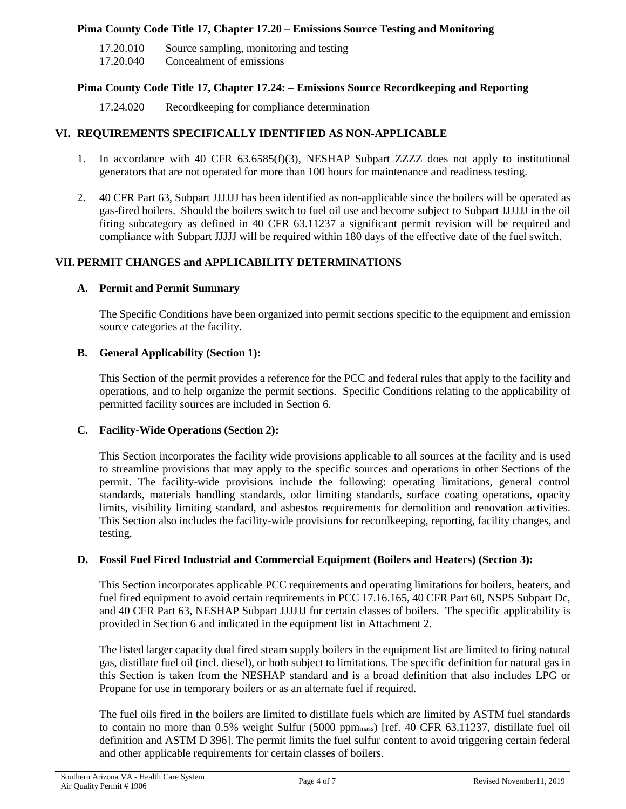## **Pima County Code Title 17, Chapter 17.20 – Emissions Source Testing and Monitoring**

17.20.010 Source sampling, monitoring and testing

17.20.040 Concealment of emissions

# **Pima County Code Title 17, Chapter 17.24: – Emissions Source Recordkeeping and Reporting**

17.24.020 Recordkeeping for compliance determination

## **VI. REQUIREMENTS SPECIFICALLY IDENTIFIED AS NON-APPLICABLE**

- 1. In accordance with 40 CFR 63.6585(f)(3), NESHAP Subpart ZZZZ does not apply to institutional generators that are not operated for more than 100 hours for maintenance and readiness testing.
- 2. 40 CFR Part 63, Subpart JJJJJJ has been identified as non-applicable since the boilers will be operated as gas-fired boilers. Should the boilers switch to fuel oil use and become subject to Subpart JJJJJJ in the oil firing subcategory as defined in 40 CFR 63.11237 a significant permit revision will be required and compliance with Subpart JJJJJ will be required within 180 days of the effective date of the fuel switch.

# **VII. PERMIT CHANGES and APPLICABILITY DETERMINATIONS**

### **A. Permit and Permit Summary**

The Specific Conditions have been organized into permit sections specific to the equipment and emission source categories at the facility.

# **B. General Applicability (Section 1):**

This Section of the permit provides a reference for the PCC and federal rules that apply to the facility and operations, and to help organize the permit sections. Specific Conditions relating to the applicability of permitted facility sources are included in Section 6.

### **C. Facility-Wide Operations (Section 2):**

This Section incorporates the facility wide provisions applicable to all sources at the facility and is used to streamline provisions that may apply to the specific sources and operations in other Sections of the permit. The facility-wide provisions include the following: operating limitations, general control standards, materials handling standards, odor limiting standards, surface coating operations, opacity limits, visibility limiting standard, and asbestos requirements for demolition and renovation activities. This Section also includes the facility-wide provisions for recordkeeping, reporting, facility changes, and testing.

### **D. Fossil Fuel Fired Industrial and Commercial Equipment (Boilers and Heaters) (Section 3):**

This Section incorporates applicable PCC requirements and operating limitations for boilers, heaters, and fuel fired equipment to avoid certain requirements in PCC 17.16.165, 40 CFR Part 60, NSPS Subpart Dc, and 40 CFR Part 63, NESHAP Subpart JJJJJJ for certain classes of boilers. The specific applicability is provided in Section 6 and indicated in the equipment list in Attachment 2.

The listed larger capacity dual fired steam supply boilers in the equipment list are limited to firing natural gas, distillate fuel oil (incl. diesel), or both subject to limitations. The specific definition for natural gas in this Section is taken from the NESHAP standard and is a broad definition that also includes LPG or Propane for use in temporary boilers or as an alternate fuel if required.

The fuel oils fired in the boilers are limited to distillate fuels which are limited by ASTM fuel standards to contain no more than 0.5% weight Sulfur (5000 ppmmass) [ref. 40 CFR 63.11237, distillate fuel oil definition and ASTM D 396]. The permit limits the fuel sulfur content to avoid triggering certain federal and other applicable requirements for certain classes of boilers.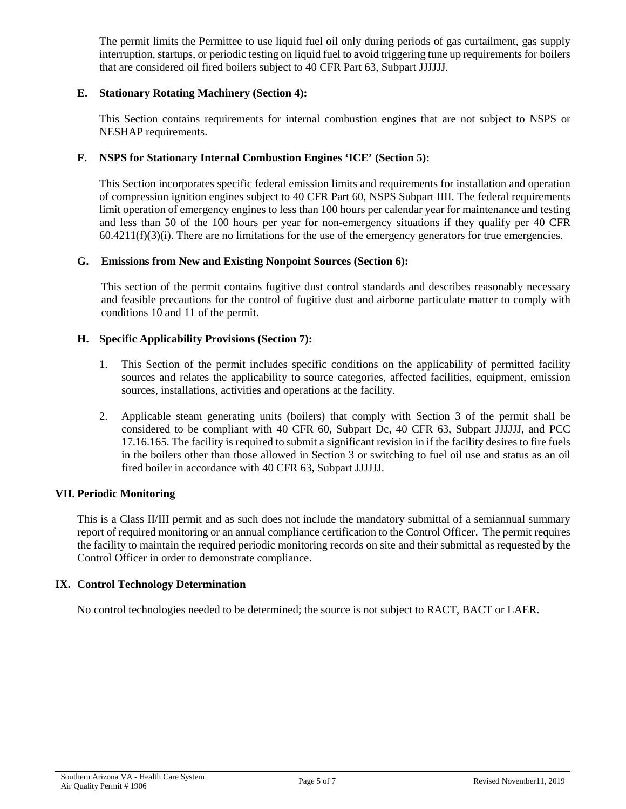The permit limits the Permittee to use liquid fuel oil only during periods of gas curtailment, gas supply interruption, startups, or periodic testing on liquid fuel to avoid triggering tune up requirements for boilers that are considered oil fired boilers subject to 40 CFR Part 63, Subpart JJJJJJ.

# **E. Stationary Rotating Machinery (Section 4):**

This Section contains requirements for internal combustion engines that are not subject to NSPS or NESHAP requirements.

### **F. NSPS for Stationary Internal Combustion Engines 'ICE' (Section 5):**

This Section incorporates specific federal emission limits and requirements for installation and operation of compression ignition engines subject to 40 CFR Part 60, NSPS Subpart IIII. The federal requirements limit operation of emergency engines to less than 100 hours per calendar year for maintenance and testing and less than 50 of the 100 hours per year for non-emergency situations if they qualify per 40 CFR  $60.4211(f)(3)(i)$ . There are no limitations for the use of the emergency generators for true emergencies.

### **G. Emissions from New and Existing Nonpoint Sources (Section 6):**

This section of the permit contains fugitive dust control standards and describes reasonably necessary and feasible precautions for the control of fugitive dust and airborne particulate matter to comply with conditions 10 and 11 of the permit.

### **H. Specific Applicability Provisions (Section 7):**

- 1. This Section of the permit includes specific conditions on the applicability of permitted facility sources and relates the applicability to source categories, affected facilities, equipment, emission sources, installations, activities and operations at the facility.
- 2. Applicable steam generating units (boilers) that comply with Section 3 of the permit shall be considered to be compliant with 40 CFR 60, Subpart Dc, 40 CFR 63, Subpart JJJJJJ, and PCC 17.16.165. The facility is required to submit a significant revision in if the facility desires to fire fuels in the boilers other than those allowed in Section 3 or switching to fuel oil use and status as an oil fired boiler in accordance with 40 CFR 63, Subpart JJJJJJ.

### **VII. Periodic Monitoring**

This is a Class II/III permit and as such does not include the mandatory submittal of a semiannual summary report of required monitoring or an annual compliance certification to the Control Officer. The permit requires the facility to maintain the required periodic monitoring records on site and their submittal as requested by the Control Officer in order to demonstrate compliance.

### **IX. Control Technology Determination**

No control technologies needed to be determined; the source is not subject to RACT, BACT or LAER.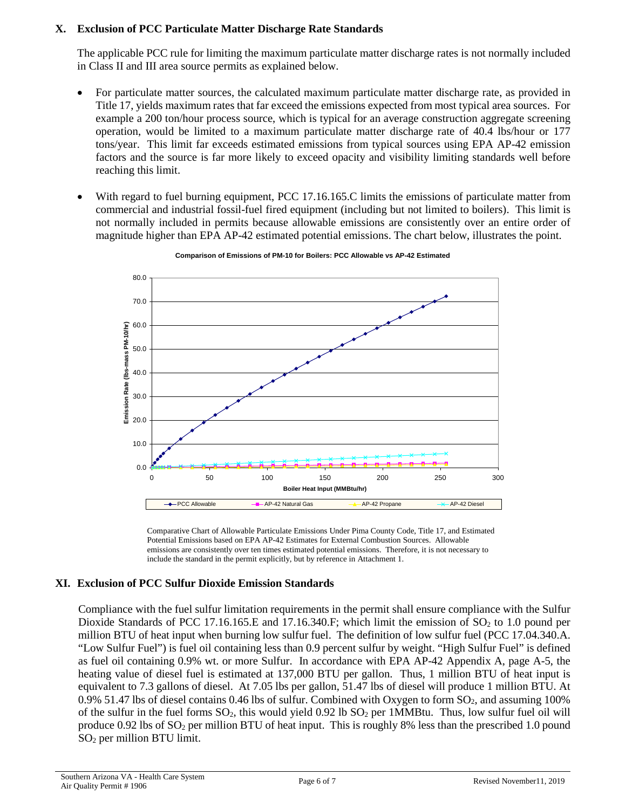# **X. Exclusion of PCC Particulate Matter Discharge Rate Standards**

The applicable PCC rule for limiting the maximum particulate matter discharge rates is not normally included in Class II and III area source permits as explained below.

- For particulate matter sources, the calculated maximum particulate matter discharge rate, as provided in Title 17, yields maximum rates that far exceed the emissions expected from most typical area sources. For example a 200 ton/hour process source, which is typical for an average construction aggregate screening operation, would be limited to a maximum particulate matter discharge rate of 40.4 lbs/hour or 177 tons/year. This limit far exceeds estimated emissions from typical sources using EPA AP-42 emission factors and the source is far more likely to exceed opacity and visibility limiting standards well before reaching this limit.
- With regard to fuel burning equipment, PCC 17.16.165.C limits the emissions of particulate matter from commercial and industrial fossil-fuel fired equipment (including but not limited to boilers). This limit is not normally included in permits because allowable emissions are consistently over an entire order of magnitude higher than EPA AP-42 estimated potential emissions. The chart below, illustrates the point.



**Comparison of Emissions of PM-10 for Boilers: PCC Allowable vs AP-42 Estimated**

Comparative Chart of Allowable Particulate Emissions Under Pima County Code, Title 17, and Estimated Potential Emissions based on EPA AP-42 Estimates for External Combustion Sources. Allowable emissions are consistently over ten times estimated potential emissions. Therefore, it is not necessary to include the standard in the permit explicitly, but by reference in Attachment 1.

# **XI. Exclusion of PCC Sulfur Dioxide Emission Standards**

Compliance with the fuel sulfur limitation requirements in the permit shall ensure compliance with the Sulfur Dioxide Standards of PCC 17.16.165.E and 17.16.340.F; which limit the emission of  $SO<sub>2</sub>$  to 1.0 pound per million BTU of heat input when burning low sulfur fuel. The definition of low sulfur fuel (PCC 17.04.340.A. "Low Sulfur Fuel") is fuel oil containing less than 0.9 percent sulfur by weight. "High Sulfur Fuel" is defined as fuel oil containing 0.9% wt. or more Sulfur. In accordance with EPA AP-42 Appendix A, page A-5, the heating value of diesel fuel is estimated at 137,000 BTU per gallon. Thus, 1 million BTU of heat input is equivalent to 7.3 gallons of diesel. At 7.05 lbs per gallon, 51.47 lbs of diesel will produce 1 million BTU. At 0.9% 51.47 lbs of diesel contains 0.46 lbs of sulfur. Combined with Oxygen to form  $SO_2$ , and assuming 100% of the sulfur in the fuel forms  $SO_2$ , this would yield 0.92 lb  $SO_2$  per 1MMBtu. Thus, low sulfur fuel oil will produce 0.92 lbs of SO2 per million BTU of heat input. This is roughly 8% less than the prescribed 1.0 pound SO2 per million BTU limit.